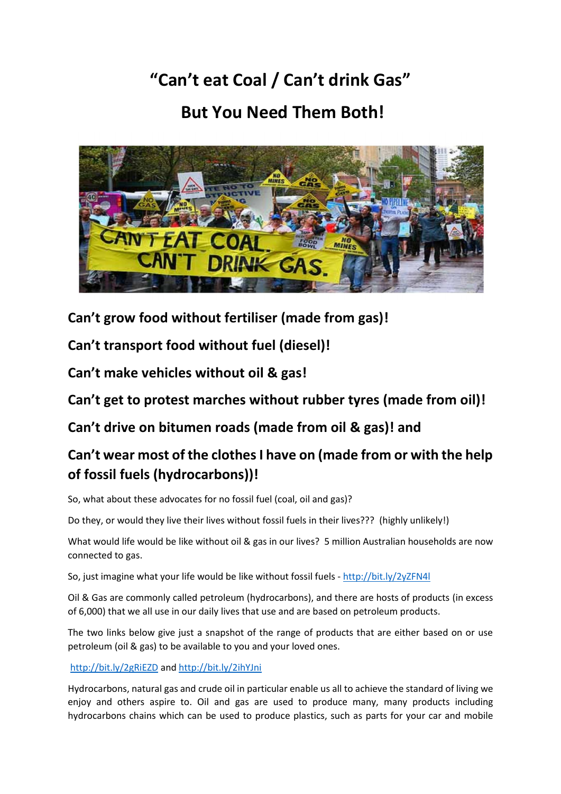## **"Can't eat Coal / Can't drink Gas" But You Need Them Both!**



**Can't grow food without fertiliser (made from gas)!**

**Can't transport food without fuel (diesel)!**

**Can't make vehicles without oil & gas!**

**Can't get to protest marches without rubber tyres (made from oil)!**

**Can't drive on bitumen roads (made from oil & gas)! and** 

## **Can't wear most of the clothes I have on (made from or with the help of fossil fuels (hydrocarbons))!**

So, what about these advocates for no fossil fuel (coal, oil and gas)?

Do they, or would they live their lives without fossil fuels in their lives??? (highly unlikely!)

What would life would be like without oil & gas in our lives? 5 million Australian households are now connected to gas.

So, just imagine what your life would be like without fossil fuels - <http://bit.ly/2yZFN4l>

Oil & Gas are commonly called petroleum (hydrocarbons), and there are hosts of products (in excess of 6,000) that we all use in our daily lives that use and are based on petroleum products.

The two links below give just a snapshot of the range of products that are either based on or use petroleum (oil & gas) to be available to you and your loved ones.

## <http://bit.ly/2gRiEZD> an[d http://bit.ly/2ihYJni](http://bit.ly/2ihYJni)

Hydrocarbons, natural gas and crude oil in particular enable us all to achieve the standard of living we enjoy and others aspire to. Oil and gas are used to produce many, many products including hydrocarbons chains which can be used to produce plastics, such as parts for your car and mobile